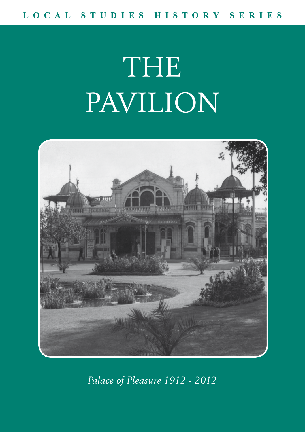# THE PAVILION



*Palace of Pleasure 1912 - 2012*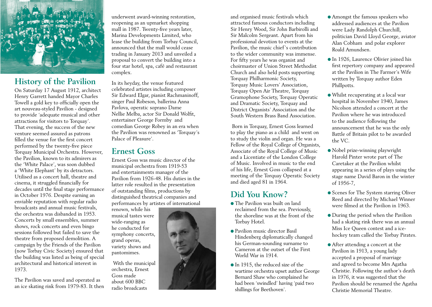

### **History of the Pavilion**

On Saturday 17 August 1912, architect Henry Garrett handed Mayor Charles Towell a gold key to officially open the art nouveau-styled Pavilion - designed to provide 'adequate musical and other attractions for visitors to Torquay'. That evening, the success of the new venture seemed assured as patrons filled the venue for the first concert performed by the twenty-five piece Torquay Municipal Orchestra. However, the Pavilion, known to its admirers as the 'White Palace', was soon dubbed a 'White Elephant' by its detractors. Utilised as a concert hall, theatre and cinema, it struggled financially for decades until the final stage performance in October 1976. Despite earning an enviable reputation with regular radio broadcasts and annual music festivals, the orchestra was disbanded in 1953. Concerts by small ensembles, summer shows, rock concerts and even bingo sessions followed but failed to save the theatre from proposed demolition. A campaign by the Friends of the Pavilion (now Torbay Civic Society) ensured that the building was listed as being of special architectural and historical interest in 1973.

The Pavilion was saved and operated as an ice skating rink from 1979-83. It then

underwent award-winning restoration, reopening as an upmarket shopping mall in 1987. Twenty-five years later, Marina Developments Limited, who lease the building from Torbay Council, announced that the mall would cease trading in January 2013 and unveiled a proposal to convert the building into a four star hotel, spa, café and restaurant complex.

In its heyday, the venue featured celebrated artistes including composer Sir Edward Elgar, pianist Rachmaninoff, singer Paul Robeson, ballerina Anna Pavlova, operatic soprano Dame Nellie Melba, actor Sir Donald Wolfit, entertainer George Formby and comedian George Robey in an era when the Pavilion was renowned as 'Torquay's Palace of Pleasure'.

#### **Ernest Goss**

Ernest Goss was music director of the municipal orchestra from 1919-53 and entertainments manager of the Pavilion from 1926-48. His duties in the latter role resulted in the presentation of outstanding films, productions by distinguished theatrical companies and performances by artistes of international

renown, while his musical tastes were wide-ranging as he conducted for symphony concerts, grand operas, variety shows and pantomimes.

 With the municipal orchestra, Ernest Goss made about 600 BBC radio broadcasts

and organised music festivals which attracted famous conductors including Sir Henry Wood, Sir John Barbirolli and Sir Malcolm Sergeant. Apart from his professional devotion to events at the Pavilion, the music chief's contribution to the wider community was immense. For fifty years he was organist and choirmaster of Union Street Methodist Church and also held posts supporting Torquay Philharmonic Society, Torquay Music Lovers' Association, Torquay Open Air Theatre, Torquay Gramophone Society, Torquay Operatic and Dramatic Society, Torquay and District Organists' Association and the South Western Brass Band Association.

 Born in Torquay, Ernest Goss learned to play the piano as a child and went on to study the violin and organ. He was a Fellow of the Royal College of Organists, Associate of the Royal College of Music and a Licentiate of the London College of Music. Involved in music to the end of his life, Ernest Goss collapsed at a meeting of the Torquay Operatic Society and died aged 81 in 1964.

## **Did You Know?**

- The Pavilion was built on land reclaimed from the sea. Previously, the shoreline was at the front of the Torbay Hotel.
- Pavilion music director Basil Hindenberg diplomatically changed his German-sounding surname to Cameron at the outset of the First World War in 1914.
- In 1915, the reduced size of the wartime orchestra upset author George Bernard Shaw who complained he had been 'swindled' having 'paid two shillings for Beethoven'.
- Amongst the famous speakers who addressed audiences at the Pavilion were Lady Randolph Churchill, politician David Lloyd George, aviator Alan Cobham and polar explorer Roald Amundsen.
- In 1926, Laurence Olivier joined his first repertory company and appeared at the Pavilion in The Farmer's Wife written by Torquay author Eden Phillpotts.
- Whilst recuperating at a local war hospital in November 1940, James Nicolson attended a concert at the Pavilion where he was introduced to the audience following the announcement that he was the only Battle of Britain pilot to be awarded the VC.
- Nobel prize-winning playwright Harold Pinter wrote part of The Caretaker at the Pavilion whilst appearing in a series of plays using the stage name David Baron in the winter of 1956-7,
- Scenes for The System starring Oliver Reed and directed by Michael Winner were filmed at the Pavilion in 1963.
- During the period when the Pavilion had a skating rink there was an annual Miss Ice Queen contest and a icehockey team called the Torbay Pirates.
- After attending a concert at the Pavilion in 1913, a young lady accepted a proposal of marriage and agreed to become Mrs Agatha Christie. Following the author's death in 1976, it was suggested that the Pavilion should be renamed the Agatha Christie Memorial Theatre.